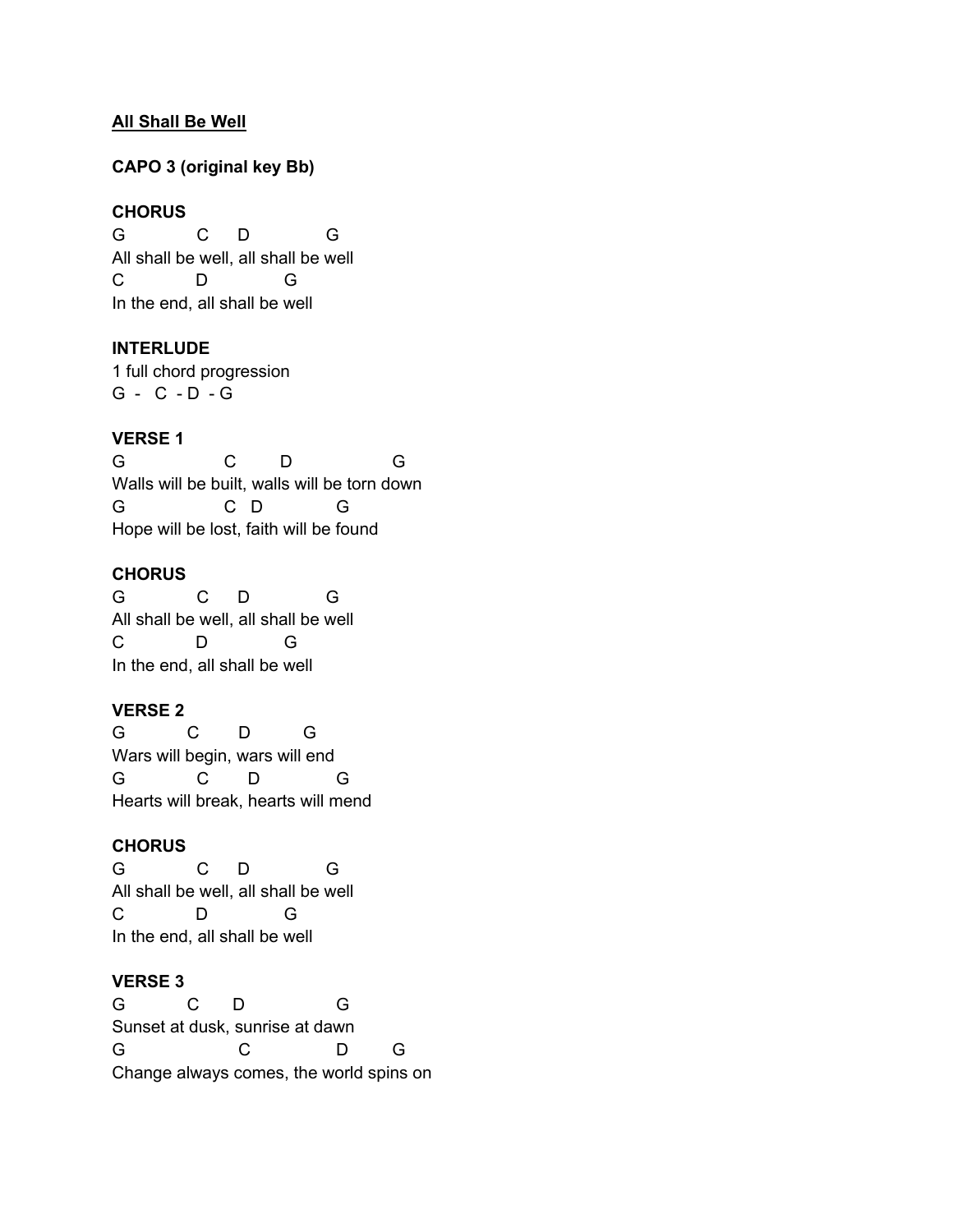## **All Shall Be Well**

## **CAPO 3 (original key Bb)**

## **CHORUS**

G C D G All shall be well, all shall be well C D G In the end, all shall be well

#### **INTERLUDE**

1 full chord progression G - C - D - G

## **VERSE 1**

G C D G Walls will be built, walls will be torn down G C D G Hope will be lost, faith will be found

# **CHORUS**

G C D G All shall be well, all shall be well C D G In the end, all shall be well

## **VERSE 2**

G C D G Wars will begin, wars will end G C D G Hearts will break, hearts will mend

#### **CHORUS**

G C D G All shall be well, all shall be well C D G In the end, all shall be well

#### **VERSE 3**

G C D G Sunset at dusk, sunrise at dawn G C D G Change always comes, the world spins on